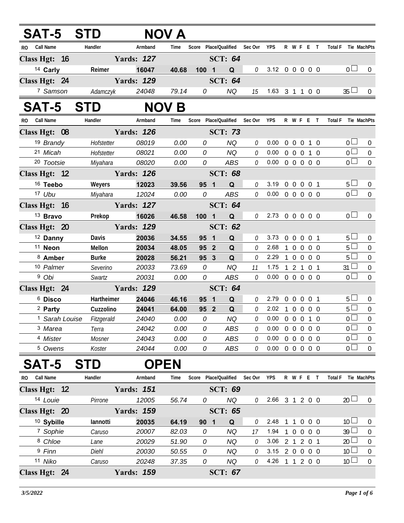| SAT-5 STD                     |                                      |                   | <b>NOV A</b> |                          |                               |              |            |                |                |                            |                |                                  |                  |
|-------------------------------|--------------------------------------|-------------------|--------------|--------------------------|-------------------------------|--------------|------------|----------------|----------------|----------------------------|----------------|----------------------------------|------------------|
| RO Call Name                  | Handler                              | Armband           | Time         |                          | Score Place/Qualified Sec Ovr |              | YPS        |                |                | R W F E T                  |                | Total F Tie MachPts              |                  |
| Class Hgt: 16                 |                                      | <b>Yards: 127</b> |              |                          | <b>SCT: 64</b>                |              |            |                |                |                            |                |                                  |                  |
| 14 Carly                      | Reimer                               | 16047             | 40.68        | $100 \quad 1$            | Q                             | 0            |            |                |                | 3.12 0 0 0 0 0             |                | 0 <sub>l</sub>                   | 0                |
| Class Hgt: 24                 |                                      | <b>Yards: 129</b> |              |                          | <b>SCT: 64</b>                |              |            |                |                |                            |                |                                  |                  |
| 7 Samson                      | Adamczyk                             | 24048             | 79.14        | 0                        | NQ                            | 15           |            |                |                | 1.63 3 1 1 0 0             |                | $35 \Box$                        | $\mathbf{0}$     |
| <b>SAT-5</b>                  | <b>STD</b>                           |                   | <b>NOV B</b> |                          |                               |              |            |                |                |                            |                |                                  |                  |
| <b>Call Name</b><br><b>RO</b> | Handler                              | Armband           | Time         |                          | Score Place/Qualified         | Sec Ovr      | <b>YPS</b> |                |                | R W F E T                  | <b>Total F</b> | Tie MachPts                      |                  |
| Class Hgt: 08                 |                                      | <b>Yards: 126</b> |              |                          | <b>SCT: 73</b>                |              |            |                |                |                            |                |                                  |                  |
| 19 Brandy                     | Hofstetter                           | 08019             | 0.00         | 0                        | <b>NQ</b>                     | 0            | 0.00       |                |                | 0 0 0 1 0                  |                | $\overline{0}$                   | $\mathbf{0}$     |
| 21 Micah                      | Hofstetter                           | 08021             | 0.00         | 0                        | <b>NQ</b>                     | $\mathcal O$ | 0.00       |                |                | 0 0 0 1 0                  |                | $\overline{0}$                   | $\overline{0}$   |
| 20 Tootsie                    | Miyahara                             | 08020             | 0.00         | 0                        | ABS                           | $\mathcal O$ |            |                |                | $0.00 \t0 \t0 \t0 \t0 \t0$ |                | $\overline{0}$                   | $\overline{0}$   |
| Class Hgt: 12                 |                                      | <b>Yards: 126</b> |              |                          | <b>SCT: 68</b>                |              |            |                |                |                            |                |                                  |                  |
| <sup>16</sup> Teebo           | Weyers                               | 12023             | 39.56        | 95 1                     | $\mathbf Q$                   | 0            | 3.19       |                |                | 0 0 0 0 1                  |                | $5\Box$                          | $\mathbf 0$      |
| 17 Ubu                        | Miyahara 12024                       |                   | 0.00         | 0                        | <b>ABS</b>                    | 0            |            |                |                | $0.00 \t0 \t0 \t0 \t0 \t0$ |                | $\overline{0}$                   | $\overline{0}$   |
| Class Hgt: 16                 |                                      | <b>Yards: 127</b> |              |                          | <b>SCT: 64</b>                |              |            |                |                |                            |                |                                  |                  |
| <sup>13</sup> Bravo           | Prekop                               | 16026             | 46.58        | 100 1                    | $\mathbf Q$                   | 0            |            |                |                | 2.73 0 0 0 0 0             |                | $\overline{0}$ $\Box$            | $\Omega$         |
| Class Hgt: 20                 |                                      | <b>Yards: 129</b> |              |                          | <b>SCT: 62</b>                |              |            |                |                |                            |                |                                  |                  |
| <sup>12</sup> Danny           | Davis                                | 20036             | 34.55        | 95 1                     | Q                             | 0            | 3.73       | $\mathbf 0$    | $\overline{0}$ | $0 \t0 \t1$                |                | $5\Box$                          | 0                |
| <sup>11</sup> Neon            | Mellon                               | 20034             | 48.05        | 95 <sup>2</sup>          | $\mathbf Q$                   | 0            | 2.68       | $\overline{1}$ |                | 0 0 0 0                    |                | 5 <sub>1</sub>                   | $\mathbf 0$      |
| 8 Amber                       | <b>Burke</b>                         | 20028             | 56.21        | 95 3                     | Q                             | 0            | 2.29       | $\overline{1}$ |                | 0 0 0 0                    |                | $5\Box$                          | $\boldsymbol{0}$ |
| 10 Palmer                     | Severino                             | 20033             | 73.69        | 0                        | <b>NQ</b>                     | 11           | 1.75       |                |                | 1 2 1 0 1                  |                | $31 \square$                     | $\mathbf 0$      |
| <sup>9</sup> Obi              | Swartz                               | 20031             | 0.00         | 0                        | ABS                           | 0            |            |                |                | $0.00 \t0 \t0 \t0 \t0 \t0$ |                | $\overline{0}$                   | $\overline{0}$   |
| Class Hgt: 24                 |                                      | <b>Yards: 129</b> |              |                          | <b>SCT: 64</b>                |              |            |                |                |                            |                |                                  |                  |
| <sup>6</sup> Disco            | Hartheimer                           | 24046             | 46.16        | 95 1                     | Q                             | 0            | 2.79       |                |                | 0 0 0 0 1                  |                | $5 \Box$                         | $\boldsymbol{0}$ |
| <sup>2</sup> Party            | Cuzzolino                            | 24041             | 64.00        | 95 2                     | Q                             | 0            |            |                |                | 2.02 1 0 0 0 0             |                | $5\Box$                          | $\boldsymbol{0}$ |
|                               | <sup>1</sup> Sarah Louise Fitzgerald | 24040             | 0.00         | $\overline{\mathcal{O}}$ | <b>NQ</b>                     | ${\cal O}$   |            |                |                | $0.00 \t0 \t0 \t0 \t1 \t0$ |                | $\overline{0}$                   | $\overline{0}$   |
| <sup>3</sup> Marea            | Terra                                | 24042             | 0.00         | 0                        | ABS                           | 0            | 0.00       |                |                | 00000                      |                | $\overline{0}$                   | $\boldsymbol{0}$ |
| <sup>4</sup> Mister           | Mosner                               | 24043             | 0.00         | 0                        | ABS                           | $\mathcal O$ | 0.00       |                |                | 0 0 0 0 0                  |                | $\overline{0}$<br>$\overline{0}$ | $\mathbf 0$      |
| <sup>5</sup> Owens            | Koster                               | 24044             | 0.00         | 0                        | ABS                           | $\theta$     |            |                |                | $0.00 \t0 \t0 \t0 \t0 \t0$ |                |                                  | $\mathbf 0$      |
| <b>SAT-5</b>                  | <b>STD</b>                           | <b>OPEN</b>       |              |                          |                               |              |            |                |                |                            |                |                                  |                  |
| RO Call Name                  | Handler                              | Armband           | Time         |                          | Score Place/Qualified         | Sec Ovr      | YPS        |                |                | R W F E T                  | <b>Total F</b> | Tie MachPts                      |                  |
| Class Hgt: 12                 |                                      | <b>Yards: 151</b> |              |                          | <b>SCT: 69</b>                |              |            |                |                |                            |                |                                  |                  |
| 14 Louie                      | Pirrone                              | 12005             | 56.74        | 0                        | <b>NQ</b>                     | 0            |            |                |                | 2.66 3 1 2 0 0             |                | 20 <sup>1</sup>                  | $\overline{0}$   |
| Class Hgt: 20                 |                                      | <b>Yards: 159</b> |              |                          | <b>SCT: 65</b>                |              |            |                |                |                            |                |                                  |                  |
| <sup>10</sup> Sybille         | lannotti                             | 20035             | 64.19        | 90 1                     | Q                             | 0            | 2.48       |                |                | 1 1 0 0 0                  |                | 10 <sup>1</sup>                  | 0                |
| 7 Sophie                      | Caruso                               | 20007             | 82.03        | 0                        | <b>NQ</b>                     | 17           | 1.94       | $\overline{1}$ |                | 0 0 0 0                    |                | 39 <sup>1</sup>                  | $\boldsymbol{0}$ |
| 8 Chloe                       | Lane                                 | 20029             | 51.90        | 0                        | <b>NQ</b>                     | $\theta$     |            |                |                | 3.06 2 1 2 0 1             |                | $20$ $\Box$                      | $\boldsymbol{0}$ |
| 9 Finn                        | <b>Diehl</b>                         | 20030             | 50.55        | 0                        | <b>NQ</b>                     | 0            |            |                |                | 3.15 2 0 0 0 0             |                | 10 <sup>1</sup>                  | $\boldsymbol{0}$ |
| 11 Niko                       | Caruso                               | 20248             | 37.35        | 0                        | <b>NQ</b>                     | 0            |            |                |                | 4.26 1 1 2 0 0             |                | 10 <sup>1</sup>                  | $\boldsymbol{0}$ |
| Class Hgt: 24                 |                                      | <b>Yards: 159</b> |              |                          | <b>SCT: 67</b>                |              |            |                |                |                            |                |                                  |                  |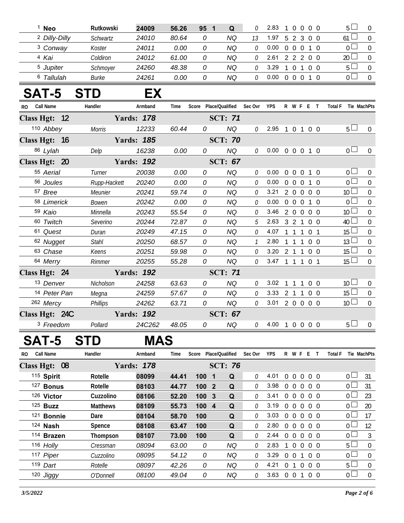|              | <sup>1</sup> Neo         | Rutkowski       | 24009             | 56.26 | 95 1                  | Q              | 0             | 2.83           |                   | 10000          | 5 <sub>1</sub>  | $\overline{0}$   |
|--------------|--------------------------|-----------------|-------------------|-------|-----------------------|----------------|---------------|----------------|-------------------|----------------|-----------------|------------------|
|              | <sup>2</sup> Dilly-Dilly | Schwartz        | 24010             | 80.64 | 0                     | <b>NQ</b>      | 13            | 1.97           |                   | 5 2 3 0 0      | 61 <sup>l</sup> | $\overline{0}$   |
|              | <sup>3</sup> Conway      | Koster          | 24011             | 0.00  | 0                     | <b>NQ</b>      | $\mathcal O$  | 0.00           |                   | 0 0 0 1 0      | 0 <sup>1</sup>  | $\mathbf 0$      |
|              | 4 Kai                    | Coldiron        | 24012             | 61.00 | 0                     | <b>NQ</b>      | 0             | 2.61           |                   | 2 2 2 0 0      | 20 <sup>2</sup> | $\overline{0}$   |
|              | <sup>5</sup> Jupiter     | Schmoyer        | 24260             | 48.38 | 0                     | <b>NQ</b>      | $\theta$      | 3.29           | $1 \t0 \t1$       | $0\quad 0$     | 5 <sup>L</sup>  | $\mathbf 0$      |
|              | 6 Tallulah               | Burke           | 24261             | 0.00  | 0                     | <b>NQ</b>      | $\theta$      | 0.00           |                   | 0 0 0 1 0      | $\overline{0}$  | $\overline{0}$   |
|              | <b>SAT-5</b>             | <b>STD</b>      | EX                |       |                       |                |               |                |                   |                |                 |                  |
| RO Call Name |                          | Handler         | Armband           | Time  | Score Place/Qualified |                | Sec Ovr       | <b>YPS</b>     |                   | R W F E T      | <b>Total F</b>  | Tie MachPts      |
|              | Class Hgt: 12            |                 | <b>Yards: 178</b> |       |                       | <b>SCT: 71</b> |               |                |                   |                |                 |                  |
|              | 110 Abbey                | <b>Morris</b>   | 12233             | 60.44 | 0                     | <b>NQ</b>      | 0             | 2.95 1 0 1 0 0 |                   |                | $5 \Box$        | $\overline{0}$   |
|              | Class Hgt: 16            |                 | <b>Yards: 185</b> |       |                       | <b>SCT: 70</b> |               |                |                   |                |                 |                  |
|              | 86 Lylah                 | Delp            | 16238             | 0.00  | 0                     | <b>NQ</b>      | 0             | 0.00           |                   | 0 0 0 1 0      | 0 <sub>1</sub>  | $\overline{0}$   |
|              | Class Hgt: 20            |                 | <b>Yards: 192</b> |       |                       | <b>SCT: 67</b> |               |                |                   |                |                 |                  |
|              | 55 Aerial                | Turner          | 20038             | 0.00  | 0                     | <b>NQ</b>      | 0             | 0.00           |                   | 0 0 0 1 0      | 0 <sub>0</sub>  | $\theta$         |
|              | 56 Joules                | Rupp-Hackett    | 20240             | 0.00  | 0                     | <b>NQ</b>      | $\theta$      | 0.00           | $0\quad 0\quad 0$ | $1\quad0$      | $\overline{0}$  | $\Omega$         |
|              | 57 Bree                  | Meunier         | 20241             | 59.74 | 0                     | <b>NQ</b>      | $\theta$      | 3.21           |                   | 2 0 0 0 0      | 10 <sup>2</sup> | $\overline{0}$   |
|              | 58 Limerick              | Bowen           | 20242             | 0.00  | 0                     | <b>NQ</b>      | $\theta$      | 0.00           | $0\quad 0\quad 0$ | 1 0            | 0 <sup>1</sup>  | $\mathbf 0$      |
|              | 59 Kaio                  | Minnella        | 20243             | 55.54 | 0                     | <b>NQ</b>      | 0             | 3.46           |                   | 2 0 0 0 0      | 10 <sup>1</sup> | $\mathbf 0$      |
|              | 60 Twitch                | Severino        | 20244             | 72.87 | 0                     | <b>NQ</b>      | 5             | 2.63           |                   | 3 2 1 0 0      | $40\Box$        | $\overline{0}$   |
|              | 61 Quest                 | Duran           | 20249             | 47.15 | 0                     | <b>NQ</b>      | 0             | 4.07           | $1 \t1 \t1$       | 0 <sub>1</sub> | $15 \Box$       | $\boldsymbol{0}$ |
|              | 62 Nugget                | <b>Stahl</b>    | 20250             | 68.57 | 0                     | <b>NQ</b>      | $\mathcal{I}$ | 2.80           | $1 \t1 \t1$       | $0\quad 0$     | 13L             | $\boldsymbol{0}$ |
|              | 63 Chase                 | Keens           | 20251             | 59.98 | 0                     | <b>NQ</b>      | $\theta$      | 3.20           |                   | 2 1 1 0 0      | 15 <sup>L</sup> | $\overline{0}$   |
|              | 64 Merry                 | Rimmer          | 20255             | 55.28 | 0                     | <b>NQ</b>      | $\mathcal O$  | 3.47 1 1 1 0 1 |                   |                | 15 <sup>L</sup> | $\overline{0}$   |
|              | Class Hgt: 24            |                 | <b>Yards: 192</b> |       |                       | <b>SCT: 71</b> |               |                |                   |                |                 |                  |
|              | 13 Denver                | Nicholson       | 24258             | 63.63 | 0                     | <b>NQ</b>      | $\theta$      | 3.02           | $1\quad1$         | 100            | 10 <sup>L</sup> | $\mathbf 0$      |
|              | 14 Peter Pan             | Megna           | 24259             | 57.67 | 0                     | <b>NQ</b>      | $\mathcal O$  | 3.33           | 2 1 1             | $0\quad 0$     | $15 \Box$       | $\overline{0}$   |
|              | 262 Mercy                | <b>Phillips</b> | 24262             | 63.71 | 0                     | <b>NQ</b>      | $\mathcal{O}$ | 3.01           |                   | 2 0 0 0 0      | 10 <sup>2</sup> | $\Omega$         |
|              | Class Hgt: 24C           |                 | <b>Yards: 192</b> |       |                       | <b>SCT: 67</b> |               |                |                   |                |                 |                  |
|              | <sup>3</sup> Freedom     | Pollard         | 24C262            | 48.05 | 0                     | NQ             | 0             | 4.00 1 0 0 0 0 |                   |                | $5 \Box$        | $\mathbf 0$      |
|              | CAT_5 CTN                |                 | MAC               |       |                       |                |               |                |                   |                |                 |                  |

## **SAT-5 STD MAS**

| RO.               | <b>Call Name</b> | Handler         | Armband | Time  | Score |       | Place/Oualified | Sec Ovr      | <b>YPS</b> | R        | W F              |          | F. |                | Total F |                 | Tie MachPts |
|-------------------|------------------|-----------------|---------|-------|-------|-------|-----------------|--------------|------------|----------|------------------|----------|----|----------------|---------|-----------------|-------------|
| <b>Class Hgt:</b> | 08               | <b>Yards:</b>   | 178     |       |       |       | <b>SCT: 76</b>  |              |            |          |                  |          |    |                |         |                 |             |
|                   | 115 Spirit       | Rotelle         | 08099   | 44.41 | 100   | - 1   | Q               | 0            | 4.01       | 0        | $\left( \right)$ | $\Omega$ |    | 0 <sub>0</sub> |         | $\cap$ $\Box$   | 31          |
|                   | 127 Bonus        | Rotelle         | 08103   | 44.77 |       | 1002  | Q               | 0            | 3.98       | $\Omega$ | $\Omega$         | $\Omega$ |    | 0 <sub>0</sub> |         | $\cap$          | 31          |
|                   | 126 Victor       | Cuzzolino       | 08106   | 52.20 |       | 1003  | Q               | 0            | 3.41       | 0        | $\Omega$         | $\Omega$ |    | 0 <sub>0</sub> |         | $\Omega$        | 23          |
|                   | $125$ Buzz       | <b>Matthews</b> | 08109   | 55.73 |       | 100 4 | Q               | 0            | 3.19       | $\Omega$ | $\Omega$         | $\Omega$ |    | 0 <sub>0</sub> |         | n L             | 20          |
|                   | 121 Bonnie       | Dare            | 08104   | 58.70 | 100   |       | Q               | 0            | 3.03       | $\Omega$ | $\Omega$         | $\Omega$ |    | 0 <sub>0</sub> |         | $\Omega$ $\Box$ | 17          |
|                   | 124 <b>Nash</b>  | Spence          | 08108   | 63.47 | 100   |       | Q               | 0            | 2.80       | 0        | $\left( \right)$ | $\Omega$ |    | 0 <sub>0</sub> |         | $\bigcap$ L     | 12          |
|                   | 114 Brazen       | Thompson        | 08107   | 73.00 | 100   |       | Q               | <sup>n</sup> | 2.44       | $\Omega$ | $\Omega$         | $\Omega$ |    | 0 <sub>0</sub> |         | $\cap$ $\Box$   | 3           |
|                   | 116 Holly        | Cressman        | 08094   | 63.00 | 0     |       | ΝQ              | 0            | 2.83       |          | 0 <sub>0</sub>   |          |    | 0 O            |         | $5+$            | $\Omega$    |
|                   | 117 Piper        | Cuzzolino       | 08095   | 54.12 |       | 0     | NQ              | 0            | 3.29       | $\Omega$ | $\Omega$         |          |    | 0 <sub>0</sub> |         | $\cap$ $\Box$   | $\Omega$    |
|                   | 119 Dart         | Rotelle         | 08097   | 42.26 |       | 0     | NQ              | 0            | 4.21       | 0        |                  | $\cup$   |    | 0 <sub>0</sub> |         | 5 <sub>1</sub>  | $\Omega$    |
|                   | 120 Jiggy        | O'Donnell       | 08100   | 49.04 |       | 0     | NQ              | 0            | 3.63       | $\Omega$ | $\Omega$         |          |    | $0\quad 0$     |         | 0 <sub>l</sub>  | $\Omega$    |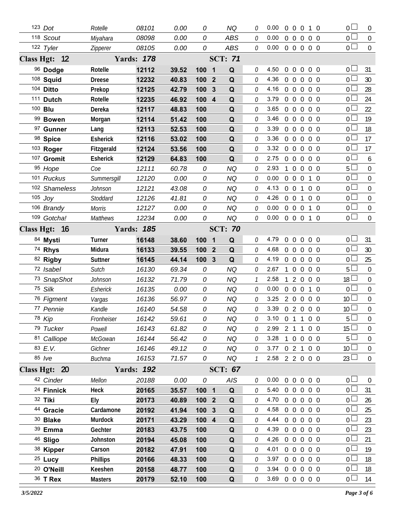| 123 Dot               | Rotelle         | 08101             | 0.00  | 0                | <b>NQ</b>           | 0             | 0.00           |                | $0\quad 0\quad 0$ |                | 1 0            | 0 <sub>0</sub>  | $\overline{0}$   |
|-----------------------|-----------------|-------------------|-------|------------------|---------------------|---------------|----------------|----------------|-------------------|----------------|----------------|-----------------|------------------|
| 118 Scout             | Miyahara        | 08098             | 0.00  | 0                | <b>ABS</b>          | 0             | 0.00           |                | $0\quad 0\quad 0$ |                | $0\quad 0$     | $\overline{0}$  | $\boldsymbol{0}$ |
| 122 Tyler             | Zipperer        | 08105             | 0.00  | 0                | <b>ABS</b>          | 0             | 0.00           |                |                   | 0 0 0 0 0      |                | 0 <sub>0</sub>  | $\boldsymbol{0}$ |
| Class Hgt: 12         |                 | <b>Yards: 178</b> |       |                  | <b>SCT: 71</b>      |               |                |                |                   |                |                |                 |                  |
| 96 Dodge              | Rotelle         | 12112             | 39.52 | 100              | $\blacksquare$<br>Q | 0             | 4.50           |                |                   | 0 0 0 0 0      |                | 0 <sub>0</sub>  | 31               |
| 108 Squid             | <b>Dreese</b>   | 12232             | 40.83 | 100              | $\overline{2}$<br>Q | 0             | 4.36           |                | $0\quad 0$        | $\overline{0}$ | $0\quad 0$     | 0 L             | 30               |
| 104 Ditto             | Prekop          | 12125             | 42.79 | 100              | 3<br>Q              | $\Omega$      | 4.16           |                | $0\quad 0\quad 0$ |                | $0\quad 0$     | 0 <sub>0</sub>  | 28               |
| 111 Dutch             | Rotelle         | 12235             | 46.92 | 100 4            | Q                   | 0             | 3.79           |                | $0\quad 0\quad 0$ |                | $0\quad 0$     | 0 <sup>L</sup>  | 24               |
| 100 Blu               | Dereka          | 12117             | 48.83 | 100              | Q                   | $\Omega$      | 3.65           |                | $0\quad 0$        | $\overline{0}$ | $0\quad 0$     | 0 <sup>L</sup>  | 22               |
| 99 Bowen              | Morgan          | 12114             | 51.42 | 100              | Q                   | 0             | 3.46           |                |                   | 00000          |                | 0 <sup>L</sup>  | 19               |
| 97 Gunner             | Lang            | 12113             | 52.53 | 100              | Q                   | $\Omega$      | 3.39           |                | $0\quad 0$        | $\overline{0}$ | $0\quad 0$     | $0\perp$        | 18               |
| 98 Spice              | <b>Esherick</b> | 12116             | 53.02 | 100              | Q                   | 0             | 3.36           |                | $0\quad 0$        | $\overline{0}$ | $0\quad 0$     | 0 <sub>0</sub>  | 17               |
| 103 Roger             | Fitzgerald      | 12124             | 53.56 | 100              | Q                   | $\Omega$      | 3.32           |                | $0\quad 0$        | $\overline{0}$ | $0\quad 0$     | 0 <sub>0</sub>  | 17               |
| 107 Gromit            | Esherick        | 12129             | 64.83 | 100              | Q                   | 0             | 2.75           |                | $0\quad 0$        | $\overline{0}$ | $0\quad 0$     | 0 <sub>0</sub>  | $\boldsymbol{6}$ |
| 95 Hope               | Coe             | 12111             | 60.78 | 0                | <b>NQ</b>           | $\Omega$      | 2.93           | 1              | $\boldsymbol{0}$  | $\overline{0}$ | $0\quad 0$     | 5 <sub>1</sub>  | $\boldsymbol{0}$ |
| 101 Ruckus            | Summersgill     | 12120             | 0.00  | 0                | NQ                  | 0             | 0.00           |                | 0 <sub>0</sub>    | $\overline{0}$ | $1\quad$ 0     | 0 <sup>L</sup>  | $\mathbf 0$      |
| 102 Shameless         | Johnson         | 12121             | 43.08 | 0                | <b>NQ</b>           | $\Omega$      | 4.13           | $0\quad 0$     |                   | 1              | $0\quad 0$     | 0 <sub>0</sub>  | $\boldsymbol{0}$ |
| $105$ Joy             | Stoddard        | 12126             | 41.81 | 0                | NQ                  | 0             | 4.26           |                | $0\quad 0$        | $\mathbf{1}$   | 0 <sub>0</sub> | 0               | $\mathbf 0$      |
| 106 Brandy            | <b>Morris</b>   | 12127             | 0.00  | 0                | <b>NQ</b>           | $\Omega$      | 0.00           |                | $0\quad 0\quad 0$ |                | $1\quad0$      | 0 <sub>0</sub>  | $\boldsymbol{0}$ |
| 109 Gotcha!           | Matthews        | 12234             | 0.00  | 0                | <b>NQ</b>           | 0             | 0.00           |                |                   | 0 0 0 1 0      |                | 0 <sub>0</sub>  | $\mathbf{0}$     |
| Class Hgt: 16         |                 | <b>Yards: 185</b> |       |                  | <b>SCT: 70</b>      |               |                |                |                   |                |                |                 |                  |
| 84 Mysti              | Turner          | 16148             | 38.60 | 100 1            | Q                   | 0             | 4.79           | $\Omega$       | $\mathbf 0$       | $\overline{0}$ | $0\quad 0$     | 0 L             | 31               |
| 74 Rhys               | Midura          | 16133             | 39.55 | 100              | Q<br>$\mathbf{2}$   | 0             | 4.68           |                | $0\quad 0\quad 0$ |                | $0\quad 0$     | 0 <sub>0</sub>  | 30               |
| 82 Rigby              | Suttner         | 16145             | 44.14 | 100              | Q<br>$\mathbf{3}$   | 0             | 4.19           | $\overline{0}$ | $\mathbf 0$       | $\overline{0}$ | $0\quad 0$     | 0 <sup>L</sup>  | 25               |
| 72 Isabel             | Sutch           | 16130             | 69.34 | 0                | <b>NQ</b>           | 0             | 2.67           |                | $\overline{0}$    | $\mathbf{0}$   | 0 <sub>0</sub> | 5 <sup>1</sup>  | $\mathbf 0$      |
| 73 SnapShot           |                 |                   |       |                  |                     |               |                |                |                   |                |                |                 |                  |
|                       | Johnson         | 16132             | 71.79 | 0                | <b>NQ</b>           | $\mathcal{I}$ | 2.58           | 1              | $2\quad 0$        |                | $0\quad 0$     | 18 <sup>1</sup> | $\mathbf 0$      |
| 75 Silk               | Esherick        | 16135             | 0.00  | 0                | <b>NQ</b>           | 0             | 0.00           |                | $0\quad 0\quad 0$ |                | $1\quad$ 0     | 0 <sup>1</sup>  | $\overline{0}$   |
| 76 Figment            | Vargas          | 16136             | 56.97 | 0                | <b>NQ</b>           | 0             | 3.25           |                | 200               |                | $0\quad 0$     | 10 <sup>1</sup> | $\mathbf 0$      |
| 77 Pennie             | Kandle          | 16140             | 54.58 | 0                | <b>NQ</b>           | 0             | 3.39           |                |                   | 02000          |                | 10 <sup>°</sup> | $\mathbf 0$      |
| 78 Kip                | Fronheiser      | 16142             | 59.61 | 0                | <b>NQ</b>           | 0             | 3.10 0 1 1 0 0 |                |                   |                |                | 5 <sub>1</sub>  | $\boldsymbol{0}$ |
| 79 Tucker             | Powell          | 16143             | 61.82 | 0                | NQ.                 |               | 2.99           |                |                   | 2 1 1 0 0      |                | 15 <sup>1</sup> | 0                |
| 81 Calliope           | McGowan         | 16144             | 56.42 | 0                | <b>NQ</b>           | 0             | 3.28 1 0 0 0 0 |                |                   |                |                | 5 <sup>1</sup>  | $\overline{0}$   |
| 83 E.V.               | Gichner         | 16146             | 49.12 | 0                | NQ                  | 0             | 3.77 0 2 1 0 0 |                |                   |                |                | 10 <sup>1</sup> | 0                |
| 85 /ve                | <b>Buchma</b>   | 16153             | 71.57 | 0                | <b>NQ</b>           | $\mathcal{I}$ | 2.58 2 2 0 0 0 |                |                   |                |                | 23 <sup>1</sup> | $\overline{0}$   |
| Class Hgt: 20         |                 | <b>Yards: 192</b> |       |                  | <b>SCT: 67</b>      |               |                |                |                   |                |                |                 |                  |
| 42 Cinder             | Mellon          | 20188             | 0.00  | 0                | AIS                 | 0             | 0.00           |                |                   | 0 0 0 0 0      |                | 0 <sub>0</sub>  | $\overline{0}$   |
| <sup>24</sup> Finnick | Heck            | 20165             | 35.57 | 100 1            | $\mathbf Q$         | 0             | 5.40 0 0 0 0 0 |                |                   |                |                | 0 <sub>0</sub>  | 31               |
| 32 Tiki               | Ely             | 20173             | 40.89 | 100 2            | Q                   | <sup>n</sup>  | 4.70 0 0 0 0 0 |                |                   |                |                | $0-$            | 26               |
| 44 Gracie             | Cardamone       | 20192             | 41.94 | 100 <sub>3</sub> | Q                   | 0             | 4.58 0 0 0 0 0 |                |                   |                |                | 0 <sup>L</sup>  | 25               |
| 30 Blake              | Murdock         | 20171             | 43.29 | $100$ 4          | Q                   | 0             | 4.44           |                |                   | 0 0 0 0 0      |                | 0 L             | 23               |
| 39 Emma               | Gechter         | 20183             | 43.75 | 100              | Q                   | 0             | 4.39           |                |                   | 0 0 0 0 0      |                | 0 <sup>L</sup>  | 23               |
| 46 Sligo              | Johnston        | 20194             | 45.08 | 100              | Q                   | 0             | 4.26           |                |                   | 0 0 0 0 0      |                | 0 <sub>0</sub>  | 21               |
| 38 Kipper             | Carson          | 20182             | 47.91 | 100              | Q                   | $\Omega$      | 4.01 0 0 0 0 0 |                |                   |                |                | 0 <sup>1</sup>  | 19               |
| <sup>25</sup> Lucy    | <b>Phillips</b> | 20166             | 48.33 | 100              | Q                   | 0             | 3.97 0 0 0 0 0 |                |                   |                |                | 0 <sub>0</sub>  | 18               |
| <sup>20</sup> O'Neill | Keeshen         | 20158             | 48.77 | 100              | Q                   | $\Omega$      | 3.94 0 0 0 0 0 |                |                   |                |                | 0 L             | 18               |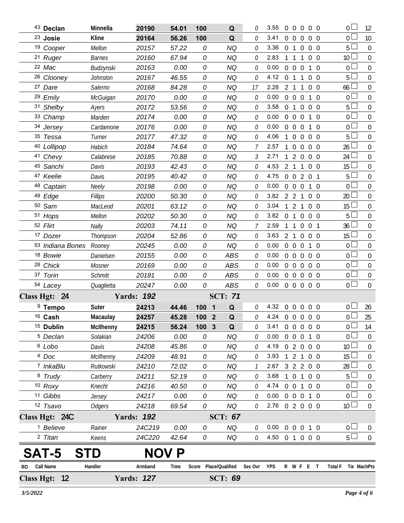|     | 43 Declan                  | Minnella       | 20190             | 54.01 | 100                            | Q              | 0            | 3.55                   | $\overline{0}$ | $\Omega$       |                | $0\quad 0\quad 0$              | 0 L                 | 12               |
|-----|----------------------------|----------------|-------------------|-------|--------------------------------|----------------|--------------|------------------------|----------------|----------------|----------------|--------------------------------|---------------------|------------------|
|     | <sup>23</sup> Josie        | Kline          | 20164             | 56.26 | 100                            | Q              | 0            | 3.41                   | $\overline{0}$ | $\overline{0}$ | $\overline{0}$ | $0\quad 0$                     | 0 <sup>L</sup>      | 10               |
|     | 19 Cooper                  | Mellon         | 20157             | 57.22 | 0                              | <b>NQ</b>      | 0            | 3.36                   | 0 <sub>1</sub> |                | $\overline{0}$ | $0\quad 0$                     | 5 <sup>1</sup>      | 0                |
|     | 21 Ruger                   | <b>Barnes</b>  | 20160             | 67.94 | 0                              | <b>NQ</b>      | 0            | 2.83                   |                | -1             | $\mathbf{1}$   | $0\quad 0$                     | 10 <sup>1</sup>     | $\overline{0}$   |
|     | 22 Mac                     | Budzynski      | 20163             | 0.00  | 0                              | NQ             | 0            | 0.00                   | $\overline{0}$ | $\Omega$       | $\overline{0}$ | $1\quad0$                      | 0 <sub>0</sub>      | $\Omega$         |
|     | <sup>26</sup> Clooney      | Johnston       | 20167             | 46.55 | 0                              | <b>NQ</b>      | 0            | 4.12                   | $\overline{0}$ | $\overline{1}$ | $\mathbf{1}$   | 0 <sub>0</sub>                 | 5 <sub>1</sub>      | $\mathbf 0$      |
|     | 27 Dare                    | Salerno        | 20168             | 84.28 | 0                              | <b>NQ</b>      | 17           | 2.28                   |                | 2 <sub>1</sub> | $\mathbf{1}$   | 0 <sub>0</sub>                 | 66 <sup>1</sup>     | 0                |
|     | 29 Emily                   | McGuigan       | 20170             | 0.00  | 0                              | <b>NQ</b>      | 0            | 0.00                   | $\mathbf 0$    | $\overline{0}$ | $\overline{0}$ | $\overline{0}$<br>1            | 0 <sup>1</sup>      | $\mathbf 0$      |
|     | 31 Shelby                  | Ayers          | 20172             | 53.56 | 0                              | <b>NQ</b>      | 0            | 3.58                   | 0 <sub>1</sub> |                |                | $0\quad 0\quad 0$              | $5\Box$             | $\overline{0}$   |
|     | 33 Champ                   | Marden         | 20174             | 0.00  | 0                              | NQ             | 0            | 0.00                   | $\overline{0}$ | $\overline{0}$ | $\overline{0}$ | $\mathbf{1}$<br>$\Omega$       | $\overline{0}$      | $\mathbf 0$      |
|     | 34 Jersey                  | Cardamone      | 20176             | 0.00  | 0                              | <b>NQ</b>      | 0            | 0.00                   | $\overline{0}$ | $\overline{0}$ | $\overline{0}$ | $\theta$<br>1                  | 0 <sub>1</sub>      | $\mathbf 0$      |
|     | 35 Tessa                   | Turner         | 20177             | 47.32 | 0                              | NQ             | 0            | 4.06                   |                | $\overline{0}$ |                | $0\quad 0\quad 0$              | 5 <sub>1</sub>      | $\mathbf 0$      |
|     | 40 Lollipop                | Habich         | 20184             | 74.64 | 0                              | <b>NQ</b>      | 7            | 2.57                   |                | $\mathbf{0}$   | $\overline{0}$ | $0\quad 0$                     | 26 <sup>L</sup>     | 0                |
|     | 41 Chevy                   | Calabrese      | 20185             | 70.88 | 0                              | <b>NQ</b>      | 3            | 2.71                   | 1              | $2\quad 0$     |                | $0\quad 0$                     | $24$ $-$            | $\mathbf 0$      |
|     | 45 Sanchi                  | Davis          | 20193             | 42.43 | 0                              | NQ             | 0            | 4.53                   |                | 2 <sub>1</sub> | $\mathbf{1}$   | 0 <sub>0</sub>                 | 15 <sup>L</sup>     | 0                |
|     | 47 Keelie                  | Davis          | 20195             | 40.42 | 0                              | NQ             | 0            | 4.75                   | $\overline{0}$ | $\overline{0}$ |                | $2 \t0 \t1$                    | 5 <sub>1</sub>      | $\mathbf 0$      |
|     | 48 Captain                 | Neely          | 20198             | 0.00  | 0                              | <b>NQ</b>      | 0            | 0.00                   | $\overline{0}$ | $\overline{0}$ | $\overline{0}$ | $\mathbf{1}$<br>$\overline{0}$ | 0 <sub>0</sub>      | $\overline{0}$   |
|     | 49 Edge                    | Fillips        | 20200             | 50.30 | 0                              | <b>NQ</b>      | 0            | 3.82                   | 2 2            |                | $\overline{1}$ | $0\quad 0$                     | 20 <sup>2</sup>     | $\mathbf 0$      |
|     | 50 Sam                     | MacLeod        | 20201             | 63.12 | 0                              | ΝQ             | 0            | 3.04                   | 1              | 2              | $\mathbf{1}$   | 0 <sub>0</sub>                 | 15L                 | 0                |
|     | 51 Hops                    | Mellon         | 20202             | 50.30 | 0                              | ΝQ             | 0            | $3.82 \quad 0 \quad 1$ |                |                | $\overline{0}$ | $0\quad 0$                     | 5 <sub>1</sub>      | $\overline{0}$   |
|     | 52 Flirt                   | <b>Nally</b>   | 20203             | 74.11 | 0                              | NQ             | 7            | 2.59                   | $\mathbf{1}$   | $\overline{1}$ |                | $0 \t0 \t1$                    | 36 L                | $\Omega$         |
|     | 17 Dozer                   | Thompson       | 20204             | 52.86 | 0                              | <b>NQ</b>      | 0            | 3.63                   |                | 2 <sub>1</sub> |                | $0\quad 0\quad 0$              | 15 <sup>L</sup>     | $\mathbf 0$      |
|     | 53 Indiana Bones           | Rooney         | 20245             | 0.00  | 0                              | <b>NQ</b>      | 0            | 0.00                   |                | $0\quad 0$     | $\overline{0}$ | 1 0                            | 0 <sub>1</sub>      | 0                |
|     | 18 Bowie                   | Danielsen      | 20155             | 0.00  | 0                              | ABS            | 0            | 0.00                   | $\overline{0}$ | $\overline{0}$ | $\overline{0}$ | $0\quad 0$                     | $\overline{0}$      | $\mathbf 0$      |
|     | 28 Chick                   | Mosner         | 20169             | 0.00  | 0                              | ABS            | 0            | 0.00                   | $\overline{0}$ | $\overline{0}$ | $\overline{0}$ | $0\quad 0$                     | $\overline{0}$      | $\mathbf 0$      |
|     | 37 Torin                   | <b>Schmitt</b> | 20181             | 0.00  | 0                              | <b>ABS</b>     | 0            | 0.00                   | $\overline{0}$ | $\mathbf 0$    | $\overline{0}$ | $0\quad 0$                     | $\overline{0}$      | $\boldsymbol{0}$ |
|     | 54 Lacey                   | Quaglietta     | 20247             | 0.00  | 0                              | <b>ABS</b>     | 0            | 0.00                   |                |                |                | 0 0 0 0 0                      | $\overline{0}$      | $\overline{0}$   |
|     | Class Hgt: 24              |                | <b>Yards: 192</b> |       |                                | <b>SCT: 71</b> |              |                        |                |                |                |                                |                     |                  |
|     | <sup>9</sup> Tempo         | Suter          | 24213             | 44.46 | 100<br>$\overline{\mathbf{1}}$ | Q              | $\theta$     | 4.32 0 0 0 0 0         |                |                |                |                                | 0 <sub>0</sub>      | 26               |
|     | 16 Cash                    | Macaulay       | 24257             | 45.28 | 100 2                          | Q              | 0            | 4.24 0 0 0 0 0         |                |                |                |                                | $\overline{0}$      | 25               |
|     | <sup>15</sup> Dublin       | McIlhenny      | 24215             | 56.24 | 100 3                          | Q              | 0            | 3.41 0 0 0 0 0         |                |                |                |                                | 0 <sup>1</sup>      | 14               |
|     | <sup>5</sup> Declan        | Solakian       | 24206             | 0.00  | 0                              | NQ             | 0            | 0.00                   |                |                |                | 0 0 0 1 0                      | 0 <sub>0</sub>      | 0                |
|     | <sup>6</sup> Lobo          | Davis          | 24208             | 45.86 | 0                              | NQ             | $\Omega$     | 4.19 0 2 0 0 0         |                |                |                |                                | 10 <sup>L</sup>     | $\boldsymbol{0}$ |
|     | 4 Doc                      | McIlhenny      | 24209             | 48.91 | 0                              | <b>NQ</b>      | 0            | 3.93                   |                |                |                | 1 2 1 0 0                      | 15 <sup>L</sup>     | 0                |
|     | 7 InkaBlu                  | Rutkowski      | 24210             | 72.02 | 0                              | <b>NQ</b>      | $\mathcal I$ | 2.67                   |                |                |                | 3 2 2 0 0                      | $28 \Box$           | $\boldsymbol{0}$ |
|     | 8 Trudy                    | Carberry       | 24211             | 52.19 | 0                              | <b>NQ</b>      | 0            | 3.68                   |                |                |                | 1 0 1 0 0                      | $5+$                | 0                |
|     | $10$ Roxy                  | Knecht         | 24216             | 40.50 | 0                              | NQ             | 0            | 4.74 0 0 1 0 0         |                |                |                |                                | 0 <sub>0</sub>      | $\boldsymbol{0}$ |
|     | 11 Gibbs                   | Jersey         | 24217             | 0.00  | 0                              | NQ             | 0            | 0.00                   |                |                |                | 0 0 0 1 0                      | 0 <sub>0</sub>      | $\boldsymbol{0}$ |
|     | 12 Tsavo                   | <b>Odgers</b>  | 24218             | 69.54 | 0                              | <b>NQ</b>      | 0            | 2.76 0 2 0 0 0         |                |                |                |                                | 10 <sup>2</sup>     | $\mathbf 0$      |
|     | Class Hgt: 24C             |                | <b>Yards: 192</b> |       |                                | <b>SCT: 67</b> |              |                        |                |                |                |                                |                     |                  |
|     | <sup>1</sup> Believe       | Rainer         | 24C219            | 0.00  | 0                              | <b>NQ</b>      | 0            | 0.00                   |                |                |                | 0 0 0 1 0                      | 0 <sub>1</sub>      | $\overline{0}$   |
|     | 2 Titan                    | Keens          | 24C220            | 42.64 | 0                              | <b>NQ</b>      | 0            | 4.50 0 1 0 0 0         |                |                |                |                                | 5 <sup>1</sup>      | $\mathbf 0$      |
|     | <b>SAT-5</b><br><b>STD</b> |                | <b>NOV P</b>      |       |                                |                |              |                        |                |                |                |                                |                     |                  |
| RO. | Call Name                  | Handler        | Armband           | Time  | Score Place/Qualified          |                | Sec Ovr      | YPS                    |                |                |                | R W F E T                      | Total F Tie MachPts |                  |
|     | Class Hgt: 12              |                | <b>Yards: 127</b> |       |                                | <b>SCT: 69</b> |              |                        |                |                |                |                                |                     |                  |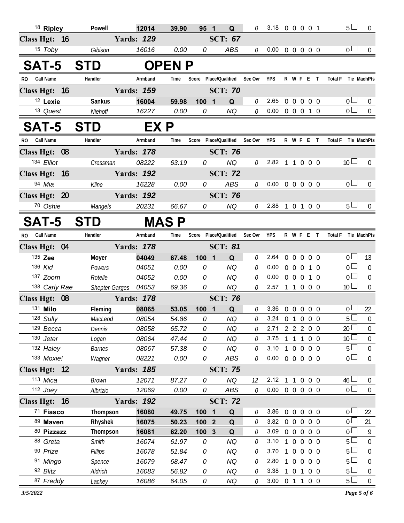| <sup>18</sup> Ripley               | Powell               | 12014             | 39.90          | 95 1   | Q                      | 0            | 3.18 0 0 0 0 1             |                        |            | 5 <sub>1</sub>                       | $\overline{0}$        |
|------------------------------------|----------------------|-------------------|----------------|--------|------------------------|--------------|----------------------------|------------------------|------------|--------------------------------------|-----------------------|
| Class Hgt: 16                      |                      | <b>Yards: 129</b> |                |        | <b>SCT: 67</b>         |              |                            |                        |            |                                      |                       |
| 15 Toby                            | Gibison              | 16016             | 0.00           | 0      | ABS                    | $\mathcal O$ | $0.00 \t0 \t0 \t0 \t0 \t0$ |                        |            | 0 <sub>0</sub>                       | $\overline{0}$        |
| <b>SAT-5</b>                       | <b>STD</b>           |                   | <b>OPENP</b>   |        |                        |              |                            |                        |            |                                      |                       |
| <b>Call Name</b><br>RO.            | Handler              | Armband           | Time           |        | Score Place/Qualified  | Sec Ovr      | <b>YPS</b>                 | R W F E T              |            | <b>Total F</b>                       | Tie MachPts           |
| Class Hgt: 16                      |                      | <b>Yards: 159</b> |                |        | <b>SCT: 70</b>         |              |                            |                        |            |                                      |                       |
| <sup>12</sup> Lexie                | Sankus               | 16004             | 59.98          | 100 1  | Q                      | 0            | 2.65                       | 0 0 0 0 0              |            | 0 <sub>0</sub>                       | $\theta$              |
| 13 Quest                           | Niehoff              | 16227             | 0.00           | 0      | NQ                     | 0            | 0.00                       | 0 0 0 1 0              |            | 0 <sup>2</sup>                       | $\overline{0}$        |
| <b>SAT-5</b>                       | <b>STD</b>           | EX P              |                |        |                        |              |                            |                        |            |                                      |                       |
| RO Call Name                       | Handler              | Armband           | Time           |        | Score Place/Qualified  | Sec Ovr      | YPS                        | R W F E T              |            | Total F Tie MachPts                  |                       |
| Class Hgt: 08                      |                      | <b>Yards: 178</b> |                |        | <b>SCT: 76</b>         |              |                            |                        |            |                                      |                       |
| 134 Elliot                         | Cressman             | 08222             | 63.19          | 0      | NQ                     | 0            | 2.82 1 1 0 0 0             |                        |            | 10 <sup>1</sup>                      | $\overline{0}$        |
| Class Hgt: 16                      |                      | <b>Yards: 192</b> |                |        | <b>SCT: 72</b>         |              |                            |                        |            |                                      |                       |
| 94 Mia                             | Kline                | 16228             | 0.00           | 0      | ABS                    | 0            | $0.00 \t0 \t0 \t0 \t0 \t0$ |                        |            | 0 <sub>0</sub>                       | $\overline{0}$        |
| Class Hgt: 20                      |                      | <b>Yards: 192</b> |                |        | <b>SCT: 76</b>         |              |                            |                        |            |                                      |                       |
| 70 Oshie                           | Mangels              | 20231             | 66.67          | 0      | NQ                     | 0            | 2.88 1 0 1 0 0             |                        |            | 5 <sub>1</sub>                       | $\overline{0}$        |
| <b>SAT-5</b>                       | <b>STD</b>           |                   | <b>MAS P</b>   |        |                        |              |                            |                        |            |                                      |                       |
| <b>Call Name</b><br>R <sub>O</sub> | Handler              | Armband           | Time           |        | Score Place/Qualified  | Sec Ovr      | YPS                        | R W F E T              |            | Total F Tie MachPts                  |                       |
| Class Hgt: 04                      |                      | <b>Yards: 178</b> |                |        | <b>SCT: 81</b>         |              |                            |                        |            |                                      |                       |
| 135 Zee                            | Moyer                | 04049             | 67.48          | 100 1  | Q                      | 0            | 2.64                       | 0 0 0 0 0              |            | $0\Box$                              | 13                    |
| 136 Kid                            | Powers               | 04051             | 0.00           | 0      | <b>NQ</b>              | 0            | 0.00                       | 0 0 0 1 0              |            | $\overline{0}$                       | $\mathbf 0$           |
| 137 Zoom                           | Rotelle              | 04052             | 0.00           | 0      | <b>NQ</b>              | 0            | 0.00                       | 0 0 0 1 0              |            | $\overline{0}$                       | $\pmb{0}$             |
| 138 Carly Rae                      | Shepter-Garges 04053 |                   | 69.36          | 0      | <b>NQ</b>              | 0            | 2.57 1 1 0 0 0             |                        |            | 10 <sup>L</sup>                      | $\mathbf 0$           |
| Class Hgt: 08                      |                      | <b>Yards: 178</b> |                |        | <b>SCT: 76</b>         |              |                            |                        |            |                                      |                       |
| 131 Milo                           | Fleming              | 08065             | 53.05          | 100 1  | Q                      | 0            | 3.36 0 0 0 0 0             |                        |            | 0 <sup>1</sup><br>$5\overline{\Box}$ | 22                    |
| 128 Sully<br>129 Becca             | MacLeod              | 08054             | 54.86          | 0      | <b>NQ</b>              | $\mathcal O$ | 3.24 0 1 0 0 0             |                        |            |                                      | $\overline{0}$        |
| 130 Jeter                          | Dennis<br>Logan      | 08058<br>08064    | 65.72<br>47.44 | 0<br>0 | <b>NQ</b><br><b>NQ</b> | 0<br>0       | 2.71<br>3.75               | 2 2 2 0 0<br>1 1 1 0 0 |            | 20<br>10 <sup>L</sup>                | 0<br>$\boldsymbol{0}$ |
| 132 Haley                          | <b>Barnes</b>        | 08067             | 57.38          | 0      | <b>NQ</b>              | 0            | 3.10                       | 100                    | $0\quad 0$ | 5 <sup>1</sup>                       | $\boldsymbol{0}$      |
| 133 Moxie!                         | Wagner               | 08221             | 0.00           | 0      | ABS                    | $\mathcal O$ | $0.00 \t0 \t0 \t0 \t0 \t0$ |                        |            | 0 <sub>0</sub>                       | $\boldsymbol{0}$      |
| Class Hgt: 12                      |                      | <b>Yards: 185</b> |                |        | <b>SCT: 75</b>         |              |                            |                        |            |                                      |                       |
| 113 Mica                           | <b>Brown</b>         | 12071             | 87.27          | 0      | NQ                     | 12           | 2.12 1 1 0 0 0             |                        |            | 46 <sup>1</sup>                      | $\bf{0}$              |
| $112$ Joey                         | Albrizio             | 12069             | 0.00           | 0      | ABS                    | $\mathcal O$ | $0.00 \t0 \t0 \t0 \t0 \t0$ |                        |            | $\overline{0}$ $\Box$                | $\boldsymbol{0}$      |
| Class Hgt: 16                      |                      | <b>Yards: 192</b> |                |        | <b>SCT: 72</b>         |              |                            |                        |            |                                      |                       |
| 71 Fiasco                          | Thompson             | 16080             | 49.75          | 100 1  | Q                      | 0            | 3.86                       | 0 0 0 0 0              |            | 0 l                                  | 22                    |
| 89 Maven                           | Rhyshek              | 16075             | 50.23          | 100 2  | Q                      | 0            | 3.82                       | 0 0 0 0 0              |            | 0 <sub>0</sub>                       | 21                    |
| 80 Pizzazz                         | Thompson             | 16081             | 62.20          | 100 3  | Q                      | 0            | 3.09                       | 0 0 0 0 0              |            | 0 <sup>1</sup>                       | 9                     |
| 88 Greta                           | Smith                | 16074             | 61.97          | 0      | NQ                     | 0            | 3.10                       | 1 0 0 0 0              |            | $5+$                                 | $\mathbf 0$           |
| 90 Prize                           | Fillips              | 16078             | 51.84          | 0      | <b>NQ</b>              | 0            | 3.70                       | 1 0 0 0 0              |            | 5 <sup>1</sup>                       | 0                     |
| 91 Mingo                           | Spence               | 16079             | 68.47          | 0      | NQ                     | 0            | 2.80                       | 1 0 0 0 0              |            | 5 <sup>L</sup>                       | $\boldsymbol{0}$      |
| 92 Blitz                           | Aldrich              | 16083             | 56.82          | 0      | NQ                     | 0            | 3.38                       | 1 0 1 0 0              |            | 5 <sup>1</sup>                       | $\boldsymbol{0}$      |
| 87 Freddy                          | Lackey               | 16086             | 64.05          | 0      | NQ                     | 0            | 3.00 0 1 1 0 0             |                        |            | 5 <sup>1</sup>                       | $\boldsymbol{0}$      |